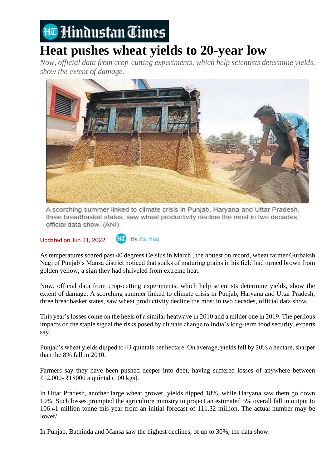## Ha Hindustan Times

## **Heat pushes wheat yields to 20-year low**

*Now, official data from crop-cutting experiments, which help scientists determine yields, show the extent of damage.*



A scorching summer linked to climate crisis in Punjab, Haryana and Uttar Pradesh, three breadbasket states, saw wheat productivity decline the most in two decades, official data show. (ANI)

Updated on Jun 21, 2022

By Zia Hag

As temperatures soared past 40 degrees Celsius in March , the hottest on record, wheat farmer Gurbaksh Nagi of Punjab's Mansa district noticed that stalks of maturing grains in his field had turned brown from golden yellow, a sign they had shriveled from extreme heat.

Now, official data from crop-cutting experiments, which help scientists determine yields, show the extent of damage. A scorching summer linked to climate crisis in Punjab, Haryana and Uttar Pradesh, three breadbasket states, saw wheat productivity decline the most in two decades, official data show.

This year's losses come on the heels of a similar heatwave in 2010 and a milder one in 2019. The perilous impacts on the staple signal the risks posed by climate change to India's long-term food security, experts say.

Punjab's wheat yields dipped to 43 quintals per hectare. On average, yields fell by 20% a hectare, sharper than the 8% fall in 2010.

Farmers say they have been pushed deeper into debt, having suffered losses of anywhere between ₹12,000- ₹18000 a quintal (100 kgs).

In Uttar Pradesh, another large wheat grower, yields dipped 18%, while Haryana saw them go down 19%. Such losses prompted the agriculture ministry to project an estimated 5% overall fall in output to 106.41 million tonne this year from an initial forecast of 111.32 million. The actual number may be lower/

In Punjab, Bathinda and Mansa saw the highest declines, of up to 30%, the data show.